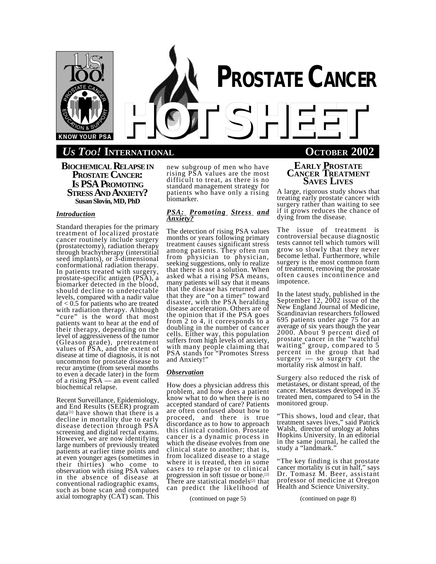

# *US TOO!* **INTERNATIONAL OCTOBER 2002**

**BIOCHEMICAL RELAPSEIN PROSTATE CANCER: IS PSA PROMOTING STRESS AND ANXIETY? Susan Slovin, MD, PhD**

## *Introduction*

Standard therapies for the primary treatment of localized prostate cancer routinely include surgery (prostatectomy), radiation therapy through brachytherapy (interstitial seed implants), or 3-dimensional conformational radiation therapy. In patients treated with surgery, prostate-specific antigen (PSA), a biomarker detected in the blood, should decline to undetectable levels, compared with a nadir value of < 0.5 for patients who are treated with radiation therapy. Although "cure" is the word that most patients want to hear at the end of their therapy, depending on the level of aggressiveness of the tumor (Gleason grade), pretreatment values of PSA, and the extent of disease at time of diagnosis, it is not uncommon for prostate disease to recur anytime (from several months to even a decade later) in the form of a rising PSA — an event called biochemical relapse.

Recent Surveillance, Epidemiology, and End Results (SEER) program  $data<sup>[1]</sup>$  have shown that there is a decline in mortality due to early disease detection through PSA screening and digital rectal exams. However, we are now identifying large numbers of previously treated patients at earlier time points and at even younger ages (sometimes in their thirties) who come to observation with rising PSA values in the absence of disease at conventional radiographic exams, such as bone scan and computed axial tomography (CAT) scan. This

new subgroup of men who have rising PSA values are the most difficult to treat, as there is no standard management strategy for patients who have only a rising biomarker.

## *PSA: Promoting Stress and Anxiety?*

The detection of rising PSA values months or years following primary treatment causes significant stress among patients. They often run from physician to physician, seeking suggestions, only to realize that there is not a solution. When asked what a rising PSA means, many patients will say that it means that the disease has returned and that they are "on a timer" toward disaster, with the PSA heralding disease acceleration. Others are of the opinion that if the PSA goes from 2 to 4, it corresponds to a doubling in the number of cancer cells. Either way, this population suffers from high levels of anxiety, with many people claiming that PSA stands for "Promotes Stress and Anxiety!"

## *Observation*

How does a physician address this problem, and how does a patient know what to do when there is no accepted standard of care? Patients are often confused about how to proceed, and there is true discordance as to how to approach this clinical condition. Prostate cancer is a dynamic process in which the disease evolves from one clinical state to another; that is, from localized disease to a stage where it is treated, then in some cases to relapse or to clinical progression in soft tissue or bone.<sup>[2]</sup> There are statistical models<sup>[2]</sup> that can predict the likelihood of

(continued on page 5) (continued on page 8)

## **EARLY PROSTATE CANCER TREATMENT SAVES LIVES**

A large, rigorous study shows that treating early prostate cancer with surgery rather than waiting to see if it grows reduces the chance of dying from the disease.

The issue of treatment is controversial because diagnostic tests cannot tell which tumors will grow so slowly that they never become lethal. Furthermore, while surgery is the most common form of treatment, removing the prostate often causes incontinence and impotence.

In the latest study, published in the September 12, 2002 issue of the New England Journal of Medicine, Scandinavian researchers followed 695 patients under age 75 for an average of six years though the year 2000. About 9 percent died of prostate cancer in the "watchful waiting" group, compared to 5 percent in the group that had  $surgery$  — so surgery cut the mortality risk almost in half.

Surgery also reduced the risk of metastases, or distant spread, of the cancer. Metastases developed in 35 treated men, compared to 54 in the monitored group.

"This shows, loud and clear, that treatment saves lives," said Patrick Walsh, director of urology at Johns Hopkins University. In an editorial in the same journal, he called the study a "landmark."

"The key finding is that prostate cancer mortality is cut in half," says Dr. Tomasz M. Beer, assistant professor of medicine at Oregon Health and Science University.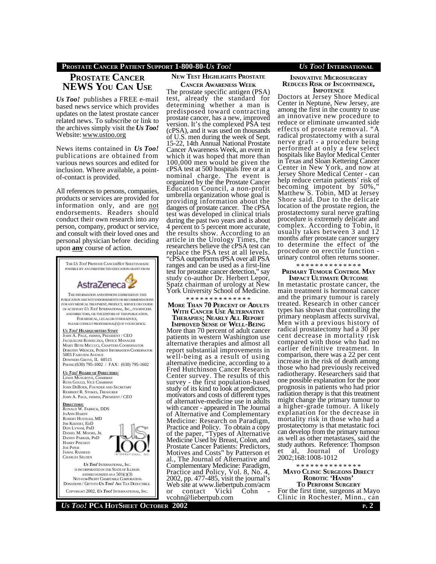## **PROSTATE CANCER PATIENT SUPPORT 1-800-80-***US TOO! US TOO!* **INTERNATIONAL**

# **PROSTATE CANCER NEWS YOU CAN USE**

*Us Too!* publishes a FREE e-mail based news service which provides updates on the latest prostate cancer related news. To subscribe or link to the archives simply visit the *Us Too!* Website: www.ustoo.org

News items contained in *Us Too!* publications are obtained from various news sources and edited for inclusion. Where available, a pointof-contact is provided.

All references to persons, companies, products or services are provided for information only, and are not endorsements. Readers should conduct their own research into any person, company, product or service, and consult with their loved ones and personal physician before deciding upon **any** course of action.



## **NEW TEST HIGHLIGHTS PROSTATE CANCER AWARENESS WEEK**

The prostate specific antigen (PSA) test, already the standard for determining whether a man is predisposed toward contracting prostate cancer, has a new, improved version. It's the complexed PSA test (cPSA), and it was used on thousands of U.S. men during the week of Sept. 15-22, 14th Annual National Prostate Cancer Awareness Week, an event in which it was hoped that more than 100,000 men would be given the cPSA test at 500 hospitals free or at a nominal charge. The event is organized by the the Prostate Cancer Education Council, a non-profit umbrella organization whose goal is providing information about the dangers of prostate cancer. The cPSA test was developed in clinical trials during the past two years and is about 4 percent to 5 percent more accurate, the results show. According to an article in the Urology Times, the researchers believe the cPSA test can replace the PSA test at all levels. "cPSA outperforms tPSA over all PSA ranges and can be used as a first-line test for prostate cancer detection," say study co-author Dr. Herbert Lepor, Spatz chairman of urology at New York University School of Medicine.

\* \* \* \* \* \* \* \* \* \* \* \* \* \* **MORE THAN 70 PERCENT OF ADULTS**

**WITH CANCER USE ALTERNATIVE THERAPIES; NEARLY ALL REPORT**

**IMPROVED SENSE OF WELL-BEING** More than 70 percent of adult cancer patients in western Washington use alternative therapies and almost all report substantial improvements in well-being as a result of using alternative medicine, according to a Fred Hutchinson Cancer Research Center survey. The results of this survey - the first population-based study of its kind to look at predictors, motivators and costs of different types of alternative-medicine use in adults with cancer - appeared in The Journal of Alternative and Complementary Medicine: Research on Paradigm, Practice and Policy. To obtain a copy of the paper, "Types of Alternative Medicine Used by Breast, Colon, and Prostate Cancer Patients: Predictors, Motives and Costs" by Patterson et al., The Journal of Alternative and Complementary Medicine: Paradigm, Practice and Policy, Vol. 8, No. 4, 2002, pp. 477-485, visit the journal's Web site at www.liebertpub.com/acm<br>or contact Vicki Cohn or contact Vicki vcohn@liebertpub.com

#### **INNOVATIVE MICROSURGERY REDUCES RISK OF INCONTINENCE, IMPOTENCE**

Doctors at Jersey Shore Medical Center in Neptune, New Jersey, are among the first in the country to use an innovative new procedure to reduce or eliminate unwanted side effects of prostate removal. "A radical prostatectomy with a sural nerve graft - a procedure being performed at only a few select hospitals like Baylor Medical Center in Texas and Sloan Kettering Cancer Center in New York, and now at Jersey Shore Medical Center - can help reduce certain patients' risk of becoming impotent by 50%," Matthew S. Tobin, MD at Jersey Shore said. Due to the delicate location of the prostate region, the prostatectomy sural nerve grafting procedure is extremely delicate and complex. According to Tobin, it usually takes between 3 and 12 months after prostate cancer surgery to determine the effect of the procedure on erectile function urinary control often returns sooner.

\* \* \* \* \* \* \* \* \* \* \* \* \* \*

#### **PRIMARY TUMOUR CONTROL MAY IMPACT ULTIMATE OUTCOME**

In metastatic prostate cancer, the main treatment is hormonal cancer and the primary tumour is rarely treated. Research in other cancer types has shown that controlling the primary neoplasm affects survival. Men with a previous history of radical prostatectomy had a 30 per cent decrease in mortality risk compared with those who had no earlier definitive treatment. In comparison, there was a 22 per cent increase in the risk of death among those who had previously received radiotherapy. Researchers said that one possible explanation for the poor prognosis in patients who had prior radiation therapy is that this treatment might change the primary tumour to a higher-grade tumour. A likely explanation for the decrease in mortality risk in those who had a prostatectomy is that metastatic foci can develop from the primary tumour as well as other metastases, said the study authors. Reference: Thompson et al, Journal of Urology 2002;168:1008-1012

#### \* \* \* \* \* \* \* \* \* \* \* \* \* \* **MAYO CLINIC SURGEONS DIRECT ROBOTIC 'HANDS'**

**TO PERFORM SURGERY** For the first time, surgeons at Mayo Clinic in Rochester, Minn., can

*US TOO!* **PCA HOTSHEET OCTOBER 2002 <sup>P</sup>. 2**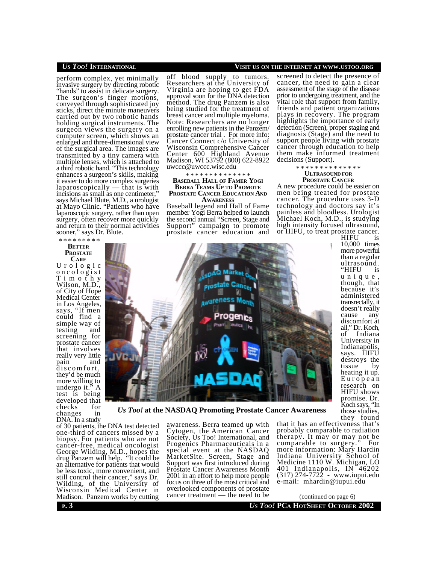## *US TOO!* **INTERNATIONAL VISIT US ON THE INTERNET AT WWW.USTOO.ORG**

perform complex, yet minimally invasive surgery by directing robotic "hands" to assist in delicate surgery. The surgeon's finger motions, conveyed through sophisticated joy sticks, direct the minute maneuvers carried out by two robotic hands holding surgical instruments. The surgeon views the surgery on a computer screen, which shows an enlarged and three-dimensional view of the surgical area. The images are transmitted by a tiny camera with multiple lenses, which is attached to a third robotic hand. "This technology enhances a surgeon's skills, making it easier to do more complex surgeries laparoscopically — that is with incisions as small as one centimeter, says Michael Blute, M.D., a urologist at Mayo Clinic. "Patients who have laparoscopic surgery, rather than open surgery, often recover more quickly and return to their normal activities sooner," says Dr. Blute.

## \* \* \* \* \* \* \* \* \* **BETTER PROSTATE**

**CARE** U r o l o g i c o n c o l o g i s t T i m o t h y Wilson, M.D., of City of Hope Medical Center in Los Angeles, says, "If men could find a simple way of testing and screening for prostate cancer that involves really very little pain and discomfort, they'd be much more willing to undergo it." A test is being developed that checks for changes in DNA. In a study

of 30 patients, the DNA test detected one-third of cancers missed by a biopsy. For patients who are not cancer-free, medical oncologist George Wilding, M.D., hopes the drug Panzem will help. "It could be an alternative for patients that would be less toxic, more convenient, and still control their cancer," says Dr. Wilding, of the University of Wisconsin Medical Center in Madison. Panzem works by cutting

off blood supply to tumors. Researchers at the University of Virginia are hoping to get FDA approval soon for the DNA detection method. The drug Panzem is also being studied for the treatment of breast cancer and multiple myeloma. Note: Researchers are no longer enrolling new patients in the Panzem/ prostate cancer trial . For more info: Cancer Connect c/o University of Wisconsin Comprehensive Cancer Center 600 Highland Avenue Madison, WI 53792 (800) 622-8922 uwccc@uwccc.wisc.edu

\* \* \* \* \* \* \* \* \* \* \* \* \* \*

## **BASEBALL HALL OF FAMER YOGI BERRA TEAMS U<sup>P</sup> TO PROMOTE PROSTATE CANCER EDUCATION AND AWARENESS**

Baseball legend and Hall of Fame member Yogi Berra helped to launch the second annual "Screen, Stage and Support" campaign to promote prostate cancer education and

screened to detect the presence of cancer, the need to gain a clear assessment of the stage of the disease prior to undergoing treatment, and the vital role that support from family, friends and patient organizations plays in recovery. The program highlights the importance of early detection (Screen), proper staging and diagnosis (Stage) and the need to support people living with prostate cancer through education to help them make informed treatment decisions (Support).

\* \* \* \* \* \* \* \* \* \* \* \* \* \*

## **ULTRASOUND FOR PROSTATE CANCER**

A new procedure could be easier on men being treated for prostate cancer. The procedure uses 3-D technology and doctors say it's painless and bloodless. Urologist Michael Koch, M.D., is studying high intensity focused ultrasound, or HIFU, to treat prostate cancer. HIFU is

> 10,000 times more powerful than a regular ultrasound. "HIFU is u n i q u e , though, that because it's administered transrectally, it doesn't really cause any discomfort at all," Dr. Koch, of Indiana University in Indianapolis, says. HIFU destroys the tissue by heating it up. E u r o p e a n research on HIFU shows promise. Dr. Koch says, "In those studies,



*Us Too!* **at the NASDAQ Promoting Prostate Cancer Awareness**

awareness. Berra teamed up with Cytogen, the American Cancer Society, Us Too! International, and Progenics Pharmaceuticals in a special event at the NASDAQ MarketSite. Screen, Stage and Support was first introduced during Prostate Cancer Awareness Month 2001 in an effort to help more people focus on three of the most critical and overlooked components of prostate cancer treatment — the need to be

they found that it has an effectiveness that's probably comparable to radiation therapy. It may or may not be comparable to surgery." For more information: Mary Hardin Indiana University School of Medicine 1110 W. Michigan, LO 401 Indianapolis, IN 46202 (317) 274-7722 - www.iupui.edu e-mail: mhardin@iupui.edu

**P. 3 U***S* **Too! PCA HOTSHEET** OCTOBER 2002 (continued on page 6)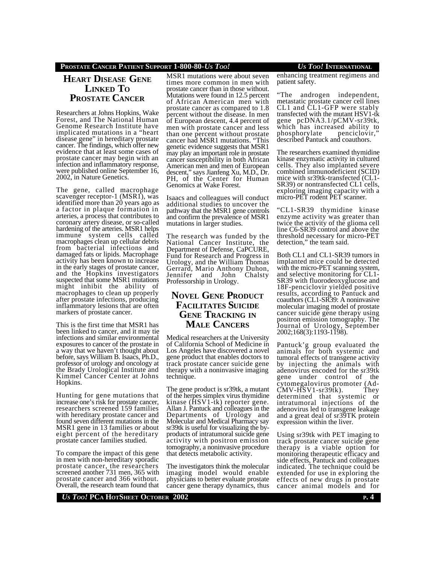## **PROSTATE CANCER PATIENT SUPPORT 1-800-80-***US TOO! US TOO!* **INTERNATIONAL**

# **HEART DISEASE GENE LINKED T<sup>O</sup> PROSTATE CANCER**

Researchers at Johns Hopkins, Wake Forest, and The National Human Genome Research Institute have implicated mutations in a "heart disease gene" in hereditary prostate cancer. The findings, which offer new evidence that at least some cases of prostate cancer may begin with an infection and inflammatory response, were published online September 16, 2002, in Nature Genetics.

The gene, called macrophage scavenger receptor-1 (MSR1), was identified more than 20 years ago as a factor in plaque formation in arteries, a process that contributes to coronary artery disease, or so-called hardening of the arteries. MSR1 helps immune system cells called macrophages clean up cellular debris from bacterial infections and damaged fats or lipids. Macrophage activity has been known to increase in the early stages of prostate cancer, and the Hopkins investigators suspected that some MSR1 mutations might inhibit the ability of macrophages to clean up properly after prostate infections, producing inflammatory lesions that are often markers of prostate cancer.

This is the first time that MSR1 has been linked to cancer, and it may tie infections and similar environmental exposures to cancer of the prostate in a way that we haven't thought about before, says William B. Isaacs, Ph.D., professor of urology and oncology at the Brady Urological Institute and Kimmel Cancer Center at Johns Hopkins.

Hunting for gene mutations that increase one's risk for prostate cancer, researchers screened 159 families with hereditary prostate cancer and found seven different mutations in the MSR1 gene in 13 families or about eight percent of the hereditary prostate cancer families studied.

To compare the impact of this gene in men with non-hereditary sporadic prostate cancer, the researchers screened another 731 men, 365 with prostate cancer and 366 without. Overall, the research team found that

MSR1 mutations were about seven times more common in men with prostate cancer than in those without. Mutations were found in 12.5 percent of African American men with prostate cancer as compared to 1.8 percent without the disease. In men of European descent, 4.4 percent of men with prostate cancer and less than one percent without prostate cancer had MSR1 mutations. "This genetic evidence suggests that MSR1 may play an important role in prostate cancer susceptibility in both African American men and men of European descent," says Jianfeng Xu, M.D., Dr. PH, of the Center for Human Genomics at Wake Forest.

Isaacs and colleagues will conduct additional studies to uncover the pathway that the MSR1 gene controls and confirm the prevalence of MSR1 mutations in larger studies.

The research was funded by the National Cancer Institute, the Department of Defense, CaPCURE, Fund for Research and Progress in Urology, and the William Thomas Gerrard, Mario Anthony Duhon, Jennifer and John Chalsty Professorship in Urology.

# **NOVEL GENE PRODUCT FACILITATES SUICIDE GENE TRACKING IN MALE CANCERS**

Medical researchers at the University of California School of Medicine in Los Angeles have discovered a novel gene product that enables doctors to track prostate cancer suicide gene therapy with a noninvasive imaging technique.

The gene product is sr39tk, a mutant of the herpes simplex virus thymidine kinase (HSV1-tk) reporter gene. Allan J. Pantuck and colleagues in the Departments of Urology and Molecular and Medical Pharmacy say sr39tk is useful for visualizing the byproducts of intratumoral suicide gene activity with positron emission tomography, a noninvasive procedure that detects metabolic activity.

The investigators think the molecular imaging model would enable physicians to better evaluate prostate cancer gene therapy dynamics, thus enhancing treatment regimens and

patient safety.

"The androgen independent, metastatic prostate cancer cell lines CL1 and CL1-GFP were stably transfected with the mutant HSV1-tk gene pcDNA3.1/pCMV-sr39tk, which has increased ability to phosphorylate penciclovir," described Pantuck and coauthors.

The researchers examined thymidine kinase enzymatic activity in cultured cells. They also implanted severe combined immunodeficient (SCID) mice with sr39tk-transfected (CL1- SR39) or nontransfected CL1 cells, exploring imaging capacity with a micro-PET rodent PET scanner.

"CL1-SR39 thymidine kinase enzyme activity was greater than twice the activity of the glioma cell line C6-SR39 control and above the threshold necessary for micro-PET detection," the team said.

Both CL1 and CL1-SR39 tumors in implanted mice could be detected with the micro-PET scanning system, and selective monitoring for CL1- SR39 with fluorodeoxyglucose and 18F-penciclovir yielded positive results, according to Pantuck and coauthors (CL1-SR39: A noninvasive molecular imaging model of prostate cancer suicide gene therapy using positron emission tomography. The Journal of Urology, September 2002;168(3):1193-1198).

Pantuck'g group evaluated the animals for both systemic and tumoral effects of transgene activity by injecting the animals with adenovirus encoded for the sr39tk gene under control of the cytomegalovirus promoter (Ad-<br>CMV-HSV1-sr39tk). They  $CMV-HSV1-sr39tk$ ). determined that systemic or intratumoral injections of the adenovirus led to transgene leakage and a great deal of sr39TK protein expression within the liver.

Using sr39tk with PET imaging to track prostate cancer suicide gene therapy is a viable option for monitoring therapeutic efficacy and side effects, Pantuck and colleagues indicated. The technique could be extended for use in exploring the effects of new drugs in prostate cancer animal models and for

## **DEPTIDE PCA HOTSHEET** OCTOBER 2002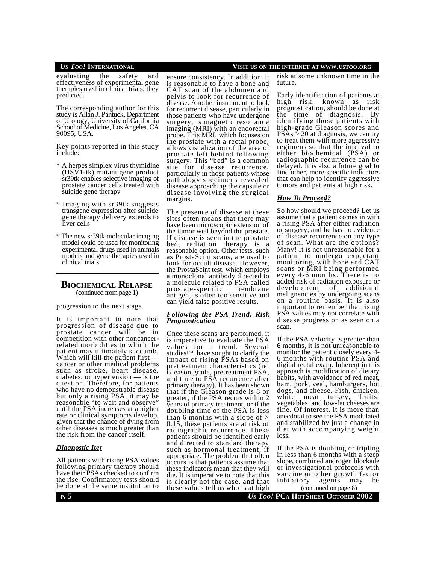## *US TOO!* **INTERNATIONAL VISIT US ON THE INTERNET AT WWW.USTOO.ORG**

evaluating the safety and effectiveness of experimental gene therapies used in clinical trials, they predicted.

The corresponding author for this study is Allan J. Pantuck, Department of Urology, University of California School of Medicine, Los Angeles, CA 90095, USA.

Key points reported in this study include:

- \* A herpes simplex virus thymidine (HSV1-tk) mutant gene product sr39tk enables selective imaging of prostate cancer cells treated with suicide gene therapy
- \* Imaging with sr39tk suggests transgene expression after suicide gene therapy delivery extends to liver cells
- \* The new sr39tk molecular imaging model could be used for monitoring experimental drugs used in animals models and gene therapies used in clinical trials.

## **BIOCHEMICAL RELAPSE** (continued from page 1)

progression to the next stage.

It is important to note that progression of disease due to prostate cancer will be in competition with other noncancerrelated morbidities to which the patient may ultimately succumb. Which will kill the patient first cancer or other medical problems such as stroke, heart disease, diabetes, or hypertension — is the question. Therefore, for patients who have no demonstrable disease but only a rising PSA, it may be reasonable "to wait and observe" until the PSA increases at a higher rate or clinical symptoms develop, given that the chance of dying from other diseases is much greater than the risk from the cancer itself.

## *Diagnostic Iter*

All patients with rising PSA values following primary therapy should have their PSAs checked to confirm the rise. Confirmatory tests should be done at the same institution to

ensure consistency. In addition, it is reasonable to have a bone and CAT scan of the abdomen and pelvis to look for recurrence of disease. Another instrument to look for recurrent disease, particularly in those patients who have undergone surgery, is magnetic resonance imaging (MRI) with an endorectal probe. This MRI, which focuses on the prostate with a rectal probe, allows visualization of the area of prostate left behind following surgery. This "bed" is a common site for disease recurrence, particularly in those patients whose pathology specimens revealed disease approaching the capsule or disease involving the surgical margins.

The presence of disease at these sites often means that there may have been microscopic extension of the tumor well beyond the prostate. If disease is seen in the prostate bed, radiation therapy is a reasonable option. Other tests, such as ProstaScint scans, are used to look for occult disease. However, the ProstaScint test, which employs a monoclonal antibody directed to a molecule related to PSA called<br>prostate-specific membrane prostate-specific antigen, is often too sensitive and can yield false positive results.

## *Following the PSA Trend: Risk Prognostication*

Once these scans are performed, it is imperative to evaluate the PSA values for a trend. Several studies<sup>[3,4]</sup> have sought to clarify the impact of rising PSAs based on pretreatment characteristics (ie, Gleason grade, pretreatment PSA, and time to PSA recurrence after primary therapy). It has been shown that if the Gleason grade is 8 or greater, if the PSA recurs within 2 years of primary treatment, or if the doubling time of the PSA is less than 6 months with a slope of  $>$ 0.15, these patients are at risk of radiographic recurrence. These patients should be identified early and directed to standard therapy such as hormonal treatment, if appropriate. The problem that often occurs is that patients assume that these indicators mean that they will die. It is imperative to note that this is clearly not the case, and that these values tell us who is at high

risk at some unknown time in the future.

Early identification of patients at high risk, known as risk prognostication, should be done at the time of diagnosis. By identifying those patients with high-grade Gleason scores and  $PSAs > 20$  at diagnosis, we can try to treat them with more aggressive regimens so that the interval to either biochemical (PSA) or radiographic recurrence can be delayed. It is also a future goal to find other, more specific indicators that can help to identify aggressive tumors and patients at high risk.

## *How To Proceed?*

So how should we proceed? Let us assume that a patient comes in with a rising PSA after either radiation or surgery, and he has no evidence of disease recurrence on any type of scan. What are the options? Many! It is not unreasonable for a patient to undergo expectant monitoring, with bone and CAT scans or MRI being performed every 4-6 months. There is no added risk of radiation exposure or development of additional malignancies by undergoing scans on a routine basis. It is also important to remember that rising PSA values may not correlate with disease progression as seen on a scan.

If the PSA velocity is greater than 6 months, it is not unreasonable to monitor the patient closely every 4- 6 months with routine PSA and digital rectal exam. Inherent in this approach is modification of dietary habits, with avoidance of red meat, ham, pork, veal, hamburgers, hot dogs, and cheese. Fish, chicken, white meat turkey, fruits, vegetables, and low-fat cheeses are fine. Of interest, it is more than anecdotal to see the PSA modulated and stabilized by just a change in diet with accompanying weight loss.

If the PSA is doubling or tripling in less than 6 months with a steep slope, combined androgen blockade or investigational protocols with vaccine or other growth factor<br>inhibitory agents may be agents may be

**P**. 5 *Us Too!* **<b>PCA HOTSHEET** OCTOBER 2002 (continued on page 8)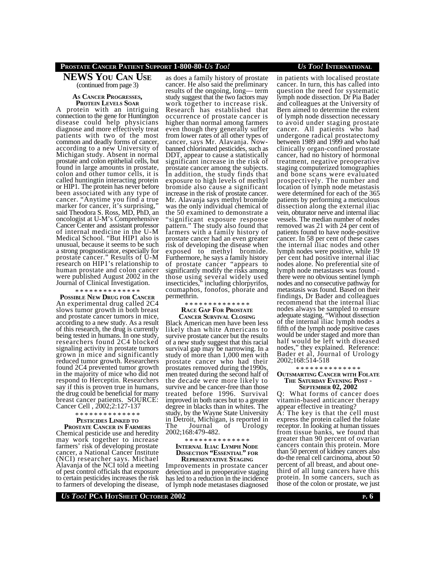## **PROSTATE CANCER PATIENT SUPPORT 1-800-80-***US TOO! US TOO!* **INTERNATIONAL**

## **NEWS YOU CAN USE** (continued from page 3)

## **AS CANCER PROGRESSES, PROTEIN LEVELS SOAR**

A protein with an intriguing connection to the gene for Huntington disease could help physicians diagnose and more effectively treat patients with two of the most common and deadly forms of cancer, according to a new University of Michigan study. Absent in normal prostate and colon epithelial cells, but found in large amounts in prostate, colon and other tumor cells, it is called huntingtin interacting protein or HIP1. The protein has never before been associated with any type of cancer. "Anytime you find a true marker for cancer, it's surprising, said Theodora S. Ross, MD, PhD, an oncologist at U-M's Comprehensive Cancer Center and assistant professor of internal medicine in the U-M Medical School. "But HIP1 also is unusual, because it seems to be such a strong prognosticator, especially for prostate cancer." Results of U-M research on HIP1's relationship to human prostate and colon cancer were published August 2002 in the Journal of Clinical Investigation.

#### \* \* \* \* \* \* \* \* \* \* \* \* \* \*

**POSSIBLE NEW DRUG FOR CANCER** An experimental drug called 2C4 slows tumor growth in both breast and prostate cancer tumors in mice, according to a new study. As a result of this research, the drug is currently being tested in humans. In one study, researchers found 2C4 blocked signaling activity in prostate tumors grown in mice and significantly reduced tumor growth. Researchers found 2C4 prevented tumor growth in the majority of mice who did not respond to Herceptin. Researchers say if this is proven true in humans, the drug could be beneficial for many breast cancer patients. SOURCE: Cancer Cell , 2002;2:127-137

### \* \* \* \* \* \* \* \* \* \* \* \* \* \* **PESTICIDES LINKED TO**

**PROSTATE CANCER IN FARMERS** Chemical pesticide use and heredity may work together to increase farmers' risk of developing prostate cancer, a National Cancer Institute (NCI) researcher says. Michael Alavanja of the NCI told a meeting of pest control officials that exposure to certain pesticides increases the risk to farmers of developing the disease,

as does a family history of prostate cancer. He also said the preliminary results of the ongoing, long— term study suggest that the two factors may work together to increase risk. Research has established that occurrence of prostate cancer is higher than normal among farmers even though they generally suffer from lower rates of all other types of cancer, says Mr. Alavanja. Nowbanned chlorinated pesticides, such as DDT, appear to cause a statistically significant increase in the risk of prostate cancer among the subjects. In addition, the study finds that exposure to high levels of methyl bromide also cause a significant increase in the risk of prostate cancer. Mr. Alavanja says methyl bromide was the only individual chemical of the 50 examined to demonstrate a 'significant exposure response pattern." The study also found that farmers with a family history of prostate cancer had an even greater risk of developing the disease when exposed to methyl bromide. Furthermore, he says a family history of prostate cancer "appears to significantly modify the risks among those using several widely used insecticides," including chlorpyrifos, coumaphos, fonofos, phorate and permethrin.

#### \* \* \* \* \* \* \* \* \* \* \* \* \* \* **RACE GAP FOR PROSTATE**

**CANCER SURVIVAL CLOSING**

Black American men have been less likely than white Americans to survive prostate cancer but the results of a new study suggest that this racial survival gap may be narrowing. In a study of more than 1,000 men with prostate cancer who had their prostates removed during the1990s, men treated during the second half of the decade were more likely to survive and be cancer-free than those treated before 1996. Survival improved in both races but to a greater degree in blacks than in whites. The study, by the Wayne State University in Detroit, Michigan, is reported in<br>The Journal of Urology The Journal of Urology 2002;168:479-482.

#### \* \* \* \* \* \* \* \* \* \* \* \* \* \*

## **INTERNAL ILIAC LYMPH NODE DISSECTION "ESSENTIAL" FOR REPRESENTATIVE STAGING**

Improvements in prostate cancer detection and in preoperative staging has led to a reduction in the incidence of lymph node metastases diagnosed cancer. In turn, this has called into question the need for systematic lymph node dissection. Dr Pia Bader and colleagues at the University of Bern aimed to determine the extent of lymph node dissection necessary to avoid under staging prostate cancer. All patients who had undergone radical prostatectomy between 1989 and 1999 and who had clinically organ-confined prostate cancer, had no history of hormonal treatment, negative preoperative staging computerized tomographies and bone scans were evaluated prospectively. The number and location of lymph node metastasis were determined for each of the 365 patients by performing a meticulous dissection along the external iliac vein, obturator nerve and internal iliac vessels. The median number of nodes removed was 21 with 24 per cent of patients found to have node-positive cancer. In 58 per cent of these cases the internal iliac nodes and other lymph nodes were positive, while 19 per cent had positive internal iliac nodes alone. No preferential site of lymph node metastases was found there were no obvious sentinel lymph nodes and no consecutive pathway for metastasis was found. Based on their findings, Dr Bader and colleagues recommend that the internal iliac nodes always be sampled to ensure adequate staging. "Without dissection of the internal iliac lymph nodes a fifth of the lymph node positive cases would be under staged and more than half would be left with diseased nodes," they explained. Reference: Bader et al, Journal of Urology 2002;168:514-518

\* \* \* \* \* \* \* \* \* \* \* \* \* \*

### **OUTSMARTING CANCER WITH FOLATE THE SATURDAY EVENING POST - SEPTEMBER 02, 2002**

Q: What forms of cancer does vitamin-based anticancer therapy appear effective in treating? A: The key is that the cell must express the protein called the folate receptor. In looking at human tissues from tissue banks, we found that greater than 90 percent of ovarian cancers contain this protein. More than 50 percent of kidney cancers also do-the renal cell carcinoma, about 50 percent of all breast, and about onethird of all lung cancers have this protein. In some cancers, such as those of the colon or prostate, we just

## *US TOO!* **PCA HOTSHEET OCTOBER 2002 <sup>P</sup>. 6**

in patients with localised prostate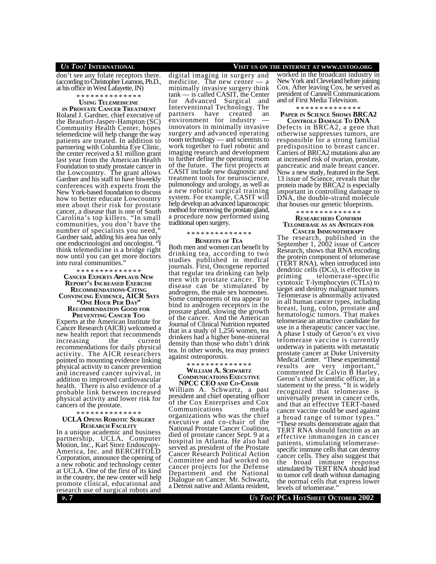$\frac{1}{\cos \theta}$  on  $\frac{1}{\cos \theta}$  folate receptors there. (according to Christopher Leamon, Ph.D., at his office in West Lafayette, IN)

## \* \* \* \* \* \* \* \* \* \* \* \* \* \*

**USING TELEMEDICINE**

**IN PROSTATE CANCER TREATMENT** Roland J. Gardner, chief executive of the Beaufort-Jasper-Hampton (SC) Community Health Center, hopes telemedicine will help change the way patients are treated. In addition to partnering with Columbia Eye Clinic, the center received a \$1 million grant last year from the American Health Foundation to study prostate cancer in the Lowcountry. The grant allows Gardner and his staff to have biweekly conferences with experts from the New York-based foundation to discuss how to better educate Lowcountry men about their risk for prostate cancer, a disease that is one of South Carolina's top killers. "In small communities, you don't have the number of specialists you need," Gardner said, adding his area has only one endocrinologist and oncologist. "I think telemedicine is a bridge right now until you can get more doctors into rural communities."

#### \* \* \* \* \* \* \* \* \* \* \* \* \* \*

**CANCER EXPERTS APPLAUD NEW REPORT'S INCREASED EXERCISE RECOMMENDATIONS-CITING CONVINCING EVIDENCE, AICR SAYS "ONE HOUR PER DAY" RECOMMENDATION GOOD FOR PREVENTING CANCER TOO**

Experts at the American Institute for Cancer Research (AICR) welcomed a new health report that recommends increasing the current recommendations for daily physical activity. The AICR researchers pointed to mounting evidence linking physical activity to cancer prevention and increased cancer survival, in addition to improved cardiovascular health. There is also evidence of a probable link between increased physical activity and lower risk for cancers of the prostate.

### \* \* \* \* \* \* \* \* \* \* \* \* \* \*

### **UCLA OPENS ROBOTIC SURGERY RESEARCH FACILITY**

In a unique academic and business partnership, UCLA, Computer Motion, Inc., Karl Storz Endoscopy-America, Inc. and BERCHTOLD Corporation, announce the opening of a new robotic and technology center at UCLA. One of the first of its kind in the country, the new center will help promote clinical, educational and research use of surgical robots and

digital imaging in surgery and medicine. The new center — a minimally invasive surgery think tank — is called CASIT, the Center for Advanced Surgical and Interventional Technology. The<br>partners have created an have created an environment for industry innovators in minimally invasive surgery and advanced operating room technology — and scientists to work together to fuel robotic and imaging research and development to further define the operating room of the future. The first projects at CASIT include new diagnostic and treatment tools for neuroscience, pulmonology and urology, as well as a new robotic surgical training system. For example, CASIT will help develop an advanced laparoscopic method for removing the prostate gland, a procedure now performed using traditional open surgery.

#### \* \* \* \* \* \* \* \* \* \* \* \* \* \*

#### **BENEFITS OF TEA**

Both men and women can benefit by drinking tea, according to two studies published in medical journals. First, Oncogene reported that regular tea drinking can help men with prostate cancer. The disease can be stimulated by androgens, the male sex hormones. Some components of tea appear to bind to androgen receptors in the prostate gland, slowing the growth of the cancer. And the American Journal of Clinical Nutrition reported that in a study of 1,256 women, tea drinkers had a higher bone-mineral density than those who didn't drink tea. In other words, tea may protect against osteoporosis.

\* \* \* \* \* \* \* \* \* \* \* \* \* \*

## **WILLIAM A. SCHWARTZ COMMUNICATIONS EXECUTIVE**

**NPCC CEO AND CO-CHAIR** William A. Schwartz, a past president and chief operating officer of the Cox Enterprises and Cox Communications media organizations who was the chief executive and co-chair of the National Prostate Cancer Coalition, died of prostate cancer Sept. 9 at a hospital in Atlanta. He also had served as president of the Prostate Cancer Research Political Action Committee and had worked on cancer projects for the Defense Department and the National Dialogue on Cancer. Mr. Schwartz, a Detroit native and Atlanta resident,

## *US TOO!* **INTERNATIONAL VISIT US ON THE INTERNET AT WWW.USTOO.ORG**

worked in the broadcast industry in New York and Cleveland before joining Cox. After leaving Cox, he served as president of Cannell Communications and of First Media Television.

\* \* \* \* \* \* \* \* \* \* \* \* \*

### **PAPER IN SCIENCE SHOWS BRCA2 CONTROLS DAMAGE TO DNA**

Defects in BRCA2, a gene that otherwise suppresses tumors, are responsible for a strong familial predisposition to breast cancer. Carriers of BRCA2 mutations also are at increased risk of ovarian, prostate, pancreatic and male breast cancer. Now a new study, featured in the Sept. 13 issue of Science, reveals that the protein made by BRCA2 is especially important in controlling damage to DNA, the double-strand molecule that houses our genetic blueprints.

\* \* \* \* \* \* \* \* \* \* \* \* \* \*

### **RESEARCHERS CONFIRM TELOMERASE AS AN ANTIGEN FOR CANCER IMMUNOTHERAPY**

The research, published in the September 1, 2002 issue of Cancer Research, shows that RNA encoding the protein component of telomerase (TERT RNA), when introduced into dendritic cells (DCs), is effective in priming telomerase-specific cytotoxic T-lymphocytes (CTLs) to target and destroy malignant tumors. Telomerase is abnormally activated in all human cancer types, including breast, lung, colon, prostate and hematologic tumors. That makes telomerase an attractive candidate for use in a therapeutic cancer vaccine. A phase I study of Geron's ex vivo telomerase vaccine is currently underway in patients with metastatic prostate cancer at Duke University Medical Center. "These experimental results are very important," commented Dr Calvin B Harley, Geron's chief scientific officer, in a statement to the press. "It is widely recognized that telomerase is universally present in cancer cells, and that an effective TERT-based cancer vaccine could be used against a broad range of tumor types.

"These results demonstrate again that TERT RNA should function as an effective immunogen in cancer patients, stimulating telomerasespecific immune cells that can destroy cancer cells. They also suggest that the broad immune response stimulated by TERT RNA should lead to tumor cell death without damaging the normal cells that express lower levels of telomerase.